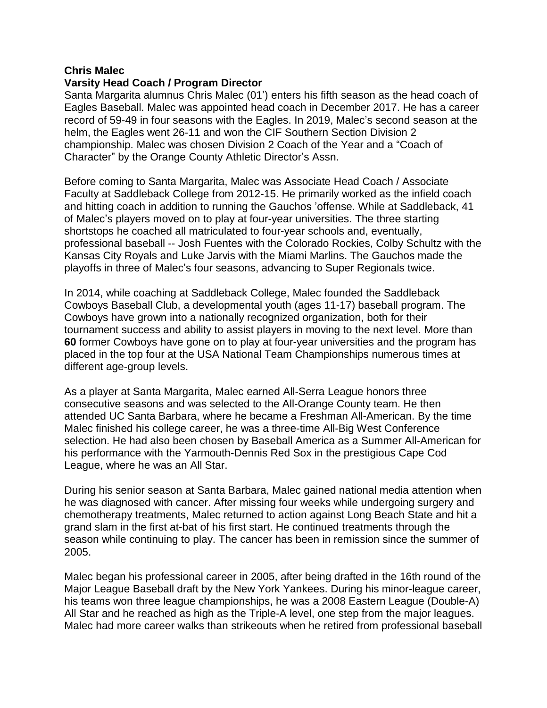#### **Chris Malec**

## **Varsity Head Coach / Program Director**

Santa Margarita alumnus Chris Malec (01') enters his fifth season as the head coach of Eagles Baseball. Malec was appointed head coach in December 2017. He has a career record of 59-49 in four seasons with the Eagles. In 2019, Malec's second season at the helm, the Eagles went 26-11 and won the CIF Southern Section Division 2 championship. Malec was chosen Division 2 Coach of the Year and a "Coach of Character" by the Orange County Athletic Director's Assn.

Before coming to Santa Margarita, Malec was Associate Head Coach / Associate Faculty at Saddleback College from 2012-15. He primarily worked as the infield coach and hitting coach in addition to running the Gauchos 'offense. While at Saddleback, 41 of Malec's players moved on to play at four-year universities. The three starting shortstops he coached all matriculated to four-year schools and, eventually, professional baseball -- Josh Fuentes with the Colorado Rockies, Colby Schultz with the Kansas City Royals and Luke Jarvis with the Miami Marlins. The Gauchos made the playoffs in three of Malec's four seasons, advancing to Super Regionals twice.

In 2014, while coaching at Saddleback College, Malec founded the Saddleback Cowboys Baseball Club, a developmental youth (ages 11-17) baseball program. The Cowboys have grown into a nationally recognized organization, both for their tournament success and ability to assist players in moving to the next level. More than **60** former Cowboys have gone on to play at four-year universities and the program has placed in the top four at the USA National Team Championships numerous times at different age-group levels.

As a player at Santa Margarita, Malec earned All-Serra League honors three consecutive seasons and was selected to the All-Orange County team. He then attended UC Santa Barbara, where he became a Freshman All-American. By the time Malec finished his college career, he was a three-time All-Big West Conference selection. He had also been chosen by Baseball America as a Summer All-American for his performance with the Yarmouth-Dennis Red Sox in the prestigious Cape Cod League, where he was an All Star.

During his senior season at Santa Barbara, Malec gained national media attention when he was diagnosed with cancer. After missing four weeks while undergoing surgery and chemotherapy treatments, Malec returned to action against Long Beach State and hit a grand slam in the first at-bat of his first start. He continued treatments through the season while continuing to play. The cancer has been in remission since the summer of 2005.

Malec began his professional career in 2005, after being drafted in the 16th round of the Major League Baseball draft by the New York Yankees. During his minor-league career, his teams won three league championships, he was a 2008 Eastern League (Double-A) All Star and he reached as high as the Triple-A level, one step from the major leagues. Malec had more career walks than strikeouts when he retired from professional baseball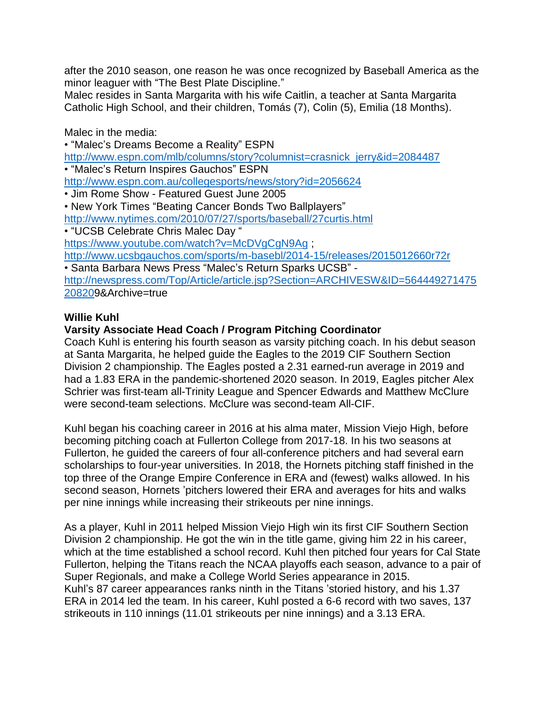after the 2010 season, one reason he was once recognized by Baseball America as the minor leaguer with "The Best Plate Discipline."

Malec resides in Santa Margarita with his wife Caitlin, a teacher at Santa Margarita Catholic High School, and their children, Tomás (7), Colin (5), Emilia (18 Months).

Malec in the media:

• "Malec's Dreams Become a Reality" ESPN [http://www.espn.com/mlb/columns/story?columnist=crasnick\\_jerry&id=2084487](http://www.espn.com/mlb/columns/story?columnist=crasnick_jerry&id=2084487) • "Malec's Return Inspires Gauchos" ESPN <http://www.espn.com.au/collegesports/news/story?id=2056624> • Jim Rome Show - Featured Guest June 2005 • New York Times "Beating Cancer Bonds Two Ballplayers" <http://www.nytimes.com/2010/07/27/sports/baseball/27curtis.html> • "UCSB Celebrate Chris Malec Day " <https://www.youtube.com/watch?v=McDVgCgN9Ag>; <http://www.ucsbgauchos.com/sports/m-basebl/2014-15/releases/2015012660r72r> • Santa Barbara News Press "Malec's Return Sparks UCSB" [http://newspress.com/Top/Article/article.jsp?Section=ARCHIVESW&ID=564449271475](http://newspress.com/Top/Article/article.jsp?Section=ARCHIVESW&ID=56444927147520820) [208209](http://newspress.com/Top/Article/article.jsp?Section=ARCHIVESW&ID=56444927147520820)&Archive=true

# **Willie Kuhl**

# **Varsity Associate Head Coach / Program Pitching Coordinator**

Coach Kuhl is entering his fourth season as varsity pitching coach. In his debut season at Santa Margarita, he helped guide the Eagles to the 2019 CIF Southern Section Division 2 championship. The Eagles posted a 2.31 earned-run average in 2019 and had a 1.83 ERA in the pandemic-shortened 2020 season. In 2019, Eagles pitcher Alex Schrier was first-team all-Trinity League and Spencer Edwards and Matthew McClure were second-team selections. McClure was second-team All-CIF.

Kuhl began his coaching career in 2016 at his alma mater, Mission Viejo High, before becoming pitching coach at Fullerton College from 2017-18. In his two seasons at Fullerton, he guided the careers of four all-conference pitchers and had several earn scholarships to four-year universities. In 2018, the Hornets pitching staff finished in the top three of the Orange Empire Conference in ERA and (fewest) walks allowed. In his second season, Hornets 'pitchers lowered their ERA and averages for hits and walks per nine innings while increasing their strikeouts per nine innings.

As a player, Kuhl in 2011 helped Mission Viejo High win its first CIF Southern Section Division 2 championship. He got the win in the title game, giving him 22 in his career, which at the time established a school record. Kuhl then pitched four years for Cal State Fullerton, helping the Titans reach the NCAA playoffs each season, advance to a pair of Super Regionals, and make a College World Series appearance in 2015. Kuhl's 87 career appearances ranks ninth in the Titans 'storied history, and his 1.37 ERA in 2014 led the team. In his career, Kuhl posted a 6-6 record with two saves, 137 strikeouts in 110 innings (11.01 strikeouts per nine innings) and a 3.13 ERA.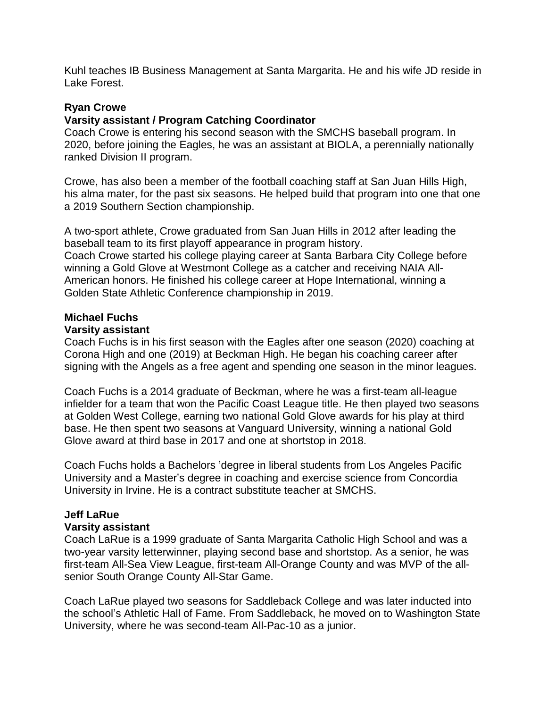Kuhl teaches IB Business Management at Santa Margarita. He and his wife JD reside in Lake Forest.

## **Ryan Crowe**

## **Varsity assistant / Program Catching Coordinator**

Coach Crowe is entering his second season with the SMCHS baseball program. In 2020, before joining the Eagles, he was an assistant at BIOLA, a perennially nationally ranked Division II program.

Crowe, has also been a member of the football coaching staff at San Juan Hills High, his alma mater, for the past six seasons. He helped build that program into one that one a 2019 Southern Section championship.

A two-sport athlete, Crowe graduated from San Juan Hills in 2012 after leading the baseball team to its first playoff appearance in program history. Coach Crowe started his college playing career at Santa Barbara City College before winning a Gold Glove at Westmont College as a catcher and receiving NAIA All-American honors. He finished his college career at Hope International, winning a Golden State Athletic Conference championship in 2019.

# **Michael Fuchs**

## **Varsity assistant**

Coach Fuchs is in his first season with the Eagles after one season (2020) coaching at Corona High and one (2019) at Beckman High. He began his coaching career after signing with the Angels as a free agent and spending one season in the minor leagues.

Coach Fuchs is a 2014 graduate of Beckman, where he was a first-team all-league infielder for a team that won the Pacific Coast League title. He then played two seasons at Golden West College, earning two national Gold Glove awards for his play at third base. He then spent two seasons at Vanguard University, winning a national Gold Glove award at third base in 2017 and one at shortstop in 2018.

Coach Fuchs holds a Bachelors 'degree in liberal students from Los Angeles Pacific University and a Master's degree in coaching and exercise science from Concordia University in Irvine. He is a contract substitute teacher at SMCHS.

## **Jeff LaRue**

#### **Varsity assistant**

Coach LaRue is a 1999 graduate of Santa Margarita Catholic High School and was a two-year varsity letterwinner, playing second base and shortstop. As a senior, he was first-team All-Sea View League, first-team All-Orange County and was MVP of the allsenior South Orange County All-Star Game.

Coach LaRue played two seasons for Saddleback College and was later inducted into the school's Athletic Hall of Fame. From Saddleback, he moved on to Washington State University, where he was second-team All-Pac-10 as a junior.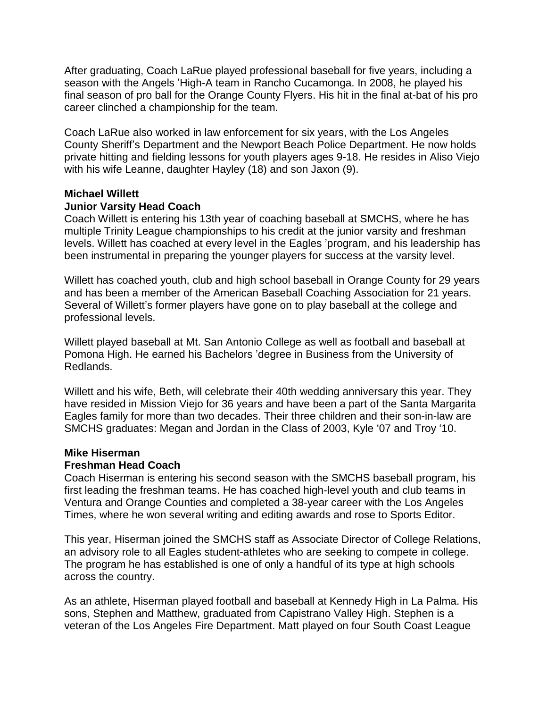After graduating, Coach LaRue played professional baseball for five years, including a season with the Angels 'High-A team in Rancho Cucamonga. In 2008, he played his final season of pro ball for the Orange County Flyers. His hit in the final at-bat of his pro career clinched a championship for the team.

Coach LaRue also worked in law enforcement for six years, with the Los Angeles County Sheriff's Department and the Newport Beach Police Department. He now holds private hitting and fielding lessons for youth players ages 9-18. He resides in Aliso Viejo with his wife Leanne, daughter Hayley (18) and son Jaxon (9).

## **Michael Willett**

#### **Junior Varsity Head Coach**

Coach Willett is entering his 13th year of coaching baseball at SMCHS, where he has multiple Trinity League championships to his credit at the junior varsity and freshman levels. Willett has coached at every level in the Eagles 'program, and his leadership has been instrumental in preparing the younger players for success at the varsity level.

Willett has coached youth, club and high school baseball in Orange County for 29 years and has been a member of the American Baseball Coaching Association for 21 years. Several of Willett's former players have gone on to play baseball at the college and professional levels.

Willett played baseball at Mt. San Antonio College as well as football and baseball at Pomona High. He earned his Bachelors 'degree in Business from the University of Redlands.

Willett and his wife, Beth, will celebrate their 40th wedding anniversary this year. They have resided in Mission Viejo for 36 years and have been a part of the Santa Margarita Eagles family for more than two decades. Their three children and their son-in-law are SMCHS graduates: Megan and Jordan in the Class of 2003, Kyle '07 and Troy '10.

#### **Mike Hiserman**

#### **Freshman Head Coach**

Coach Hiserman is entering his second season with the SMCHS baseball program, his first leading the freshman teams. He has coached high-level youth and club teams in Ventura and Orange Counties and completed a 38-year career with the Los Angeles Times, where he won several writing and editing awards and rose to Sports Editor.

This year, Hiserman joined the SMCHS staff as Associate Director of College Relations, an advisory role to all Eagles student-athletes who are seeking to compete in college. The program he has established is one of only a handful of its type at high schools across the country.

As an athlete, Hiserman played football and baseball at Kennedy High in La Palma. His sons, Stephen and Matthew, graduated from Capistrano Valley High. Stephen is a veteran of the Los Angeles Fire Department. Matt played on four South Coast League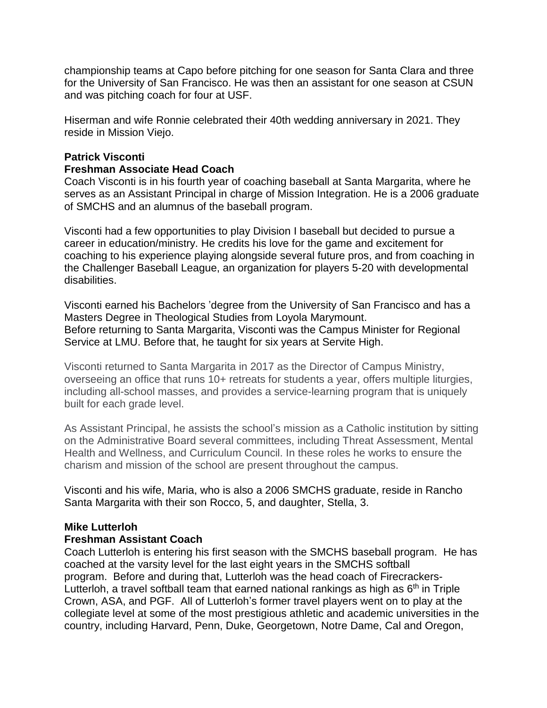championship teams at Capo before pitching for one season for Santa Clara and three for the University of San Francisco. He was then an assistant for one season at CSUN and was pitching coach for four at USF.

Hiserman and wife Ronnie celebrated their 40th wedding anniversary in 2021. They reside in Mission Viejo.

## **Patrick Visconti**

### **Freshman Associate Head Coach**

Coach Visconti is in his fourth year of coaching baseball at Santa Margarita, where he serves as an Assistant Principal in charge of Mission Integration. He is a 2006 graduate of SMCHS and an alumnus of the baseball program.

Visconti had a few opportunities to play Division I baseball but decided to pursue a career in education/ministry. He credits his love for the game and excitement for coaching to his experience playing alongside several future pros, and from coaching in the Challenger Baseball League, an organization for players 5-20 with developmental disabilities.

Visconti earned his Bachelors 'degree from the University of San Francisco and has a Masters Degree in Theological Studies from Loyola Marymount. Before returning to Santa Margarita, Visconti was the Campus Minister for Regional Service at LMU. Before that, he taught for six years at Servite High.

Visconti returned to Santa Margarita in 2017 as the Director of Campus Ministry, overseeing an office that runs 10+ retreats for students a year, offers multiple liturgies, including all-school masses, and provides a service-learning program that is uniquely built for each grade level.

As Assistant Principal, he assists the school's mission as a Catholic institution by sitting on the Administrative Board several committees, including Threat Assessment, Mental Health and Wellness, and Curriculum Council. In these roles he works to ensure the charism and mission of the school are present throughout the campus.

Visconti and his wife, Maria, who is also a 2006 SMCHS graduate, reside in Rancho Santa Margarita with their son Rocco, 5, and daughter, Stella, 3.

## **Mike Lutterloh**

#### **Freshman Assistant Coach**

Coach Lutterloh is entering his first season with the SMCHS baseball program. He has coached at the varsity level for the last eight years in the SMCHS softball program. Before and during that, Lutterloh was the head coach of Firecrackers-Lutterloh, a travel softball team that earned national rankings as high as 6<sup>th</sup> in Triple Crown, ASA, and PGF. All of Lutterloh's former travel players went on to play at the collegiate level at some of the most prestigious athletic and academic universities in the country, including Harvard, Penn, Duke, Georgetown, Notre Dame, Cal and Oregon,